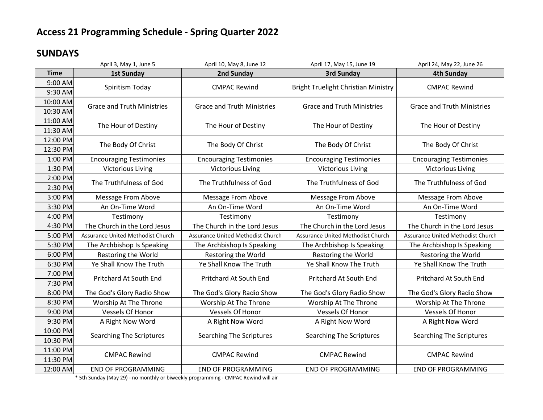### **SUNDAYS**

|             | April 3, May 1, June 5            | April 10, May 8, June 12          | April 17, May 15, June 19           | April 24, May 22, June 26         |
|-------------|-----------------------------------|-----------------------------------|-------------------------------------|-----------------------------------|
| <b>Time</b> | <b>1st Sunday</b>                 | 2nd Sunday                        | 3rd Sunday                          | <b>4th Sunday</b>                 |
| 9:00 AM     | Spiritism Today                   | <b>CMPAC Rewind</b>               | Bright Truelight Christian Ministry | <b>CMPAC Rewind</b>               |
| 9:30 AM     |                                   |                                   |                                     |                                   |
| 10:00 AM    | <b>Grace and Truth Ministries</b> | <b>Grace and Truth Ministries</b> | <b>Grace and Truth Ministries</b>   | <b>Grace and Truth Ministries</b> |
| 10:30 AM    |                                   |                                   |                                     |                                   |
| 11:00 AM    | The Hour of Destiny               | The Hour of Destiny               | The Hour of Destiny                 | The Hour of Destiny               |
| 11:30 AM    |                                   |                                   |                                     |                                   |
| 12:00 PM    | The Body Of Christ                | The Body Of Christ                | The Body Of Christ                  | The Body Of Christ                |
| 12:30 PM    |                                   |                                   |                                     |                                   |
| 1:00 PM     | <b>Encouraging Testimonies</b>    | <b>Encouraging Testimonies</b>    | <b>Encouraging Testimonies</b>      | <b>Encouraging Testimonies</b>    |
| 1:30 PM     | <b>Victorious Living</b>          | <b>Victorious Living</b>          | <b>Victorious Living</b>            | <b>Victorious Living</b>          |
| 2:00 PM     | The Truthfulness of God           | The Truthfulness of God           | The Truthfulness of God             | The Truthfulness of God           |
| 2:30 PM     |                                   |                                   |                                     |                                   |
| 3:00 PM     | Message From Above                | Message From Above                | Message From Above                  | Message From Above                |
| 3:30 PM     | An On-Time Word                   | An On-Time Word                   | An On-Time Word                     | An On-Time Word                   |
| 4:00 PM     | Testimony                         | Testimony                         | Testimony                           | Testimony                         |
| 4:30 PM     | The Church in the Lord Jesus      | The Church in the Lord Jesus      | The Church in the Lord Jesus        | The Church in the Lord Jesus      |
| 5:00 PM     | Assurance United Methodist Church | Assurance United Methodist Church | Assurance United Methodist Church   | Assurance United Methodist Church |
| 5:30 PM     | The Archbishop Is Speaking        | The Archbishop Is Speaking        | The Archbishop Is Speaking          | The Archbishop Is Speaking        |
| 6:00 PM     | Restoring the World               | Restoring the World               | Restoring the World                 | Restoring the World               |
| 6:30 PM     | Ye Shall Know The Truth           | Ye Shall Know The Truth           | Ye Shall Know The Truth             | Ye Shall Know The Truth           |
| 7:00 PM     | Pritchard At South End            | Pritchard At South End            | Pritchard At South End              | Pritchard At South End            |
| 7:30 PM     |                                   |                                   |                                     |                                   |
| 8:00 PM     | The God's Glory Radio Show        | The God's Glory Radio Show        | The God's Glory Radio Show          | The God's Glory Radio Show        |
| 8:30 PM     | Worship At The Throne             | Worship At The Throne             | Worship At The Throne               | Worship At The Throne             |
| 9:00 PM     | Vessels Of Honor                  | Vessels Of Honor                  | Vessels Of Honor                    | Vessels Of Honor                  |
| 9:30 PM     | A Right Now Word                  | A Right Now Word                  | A Right Now Word                    | A Right Now Word                  |
| 10:00 PM    | Searching The Scriptures          | Searching The Scriptures          | Searching The Scriptures            | Searching The Scriptures          |
| 10:30 PM    |                                   |                                   |                                     |                                   |
| 11:00 PM    | <b>CMPAC Rewind</b>               | <b>CMPAC Rewind</b>               | <b>CMPAC Rewind</b>                 | <b>CMPAC Rewind</b>               |
| 11:30 PM    |                                   |                                   |                                     |                                   |
| 12:00 AM    | <b>END OF PROGRAMMING</b>         | <b>END OF PROGRAMMING</b>         | <b>END OF PROGRAMMING</b>           | <b>END OF PROGRAMMING</b>         |

\* 5th Sunday (May 29) - no monthly or biweekly programming - CMPAC Rewind will air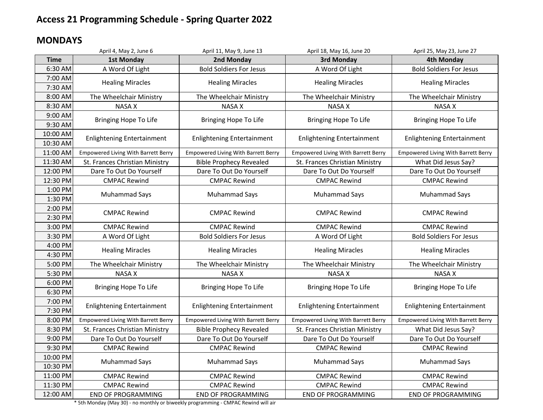### **MONDAYS**

|             | April 4, May 2, June 6                     | April 11, May 9, June 13                   | April 18, May 16, June 20                  | April 25, May 23, June 27                  |
|-------------|--------------------------------------------|--------------------------------------------|--------------------------------------------|--------------------------------------------|
| <b>Time</b> | <b>1st Monday</b>                          | 2nd Monday                                 | 3rd Monday                                 | <b>4th Monday</b>                          |
| 6:30 AM     | A Word Of Light                            | <b>Bold Soldiers For Jesus</b>             | A Word Of Light                            | <b>Bold Soldiers For Jesus</b>             |
| 7:00 AM     | <b>Healing Miracles</b>                    | <b>Healing Miracles</b>                    | <b>Healing Miracles</b>                    | <b>Healing Miracles</b>                    |
| 7:30 AM     |                                            |                                            |                                            |                                            |
| 8:00 AM     | The Wheelchair Ministry                    | The Wheelchair Ministry                    | The Wheelchair Ministry                    | The Wheelchair Ministry                    |
| 8:30 AM     | <b>NASA X</b>                              | <b>NASA X</b>                              | <b>NASA X</b>                              | <b>NASA X</b>                              |
| 9:00 AM     | Bringing Hope To Life                      | Bringing Hope To Life                      | Bringing Hope To Life                      | <b>Bringing Hope To Life</b>               |
| 9:30 AM     |                                            |                                            |                                            |                                            |
| 10:00 AM    | <b>Enlightening Entertainment</b>          | <b>Enlightening Entertainment</b>          | <b>Enlightening Entertainment</b>          | <b>Enlightening Entertainment</b>          |
| 10:30 AM    |                                            |                                            |                                            |                                            |
| 11:00 AM    | <b>Empowered Living With Barrett Berry</b> | <b>Empowered Living With Barrett Berry</b> | <b>Empowered Living With Barrett Berry</b> | <b>Empowered Living With Barrett Berry</b> |
| 11:30 AM    | St. Frances Christian Ministry             | <b>Bible Prophecy Revealed</b>             | St. Frances Christian Ministry             | What Did Jesus Say?                        |
| 12:00 PM    | Dare To Out Do Yourself                    | Dare To Out Do Yourself                    | Dare To Out Do Yourself                    | Dare To Out Do Yourself                    |
| 12:30 PM    | <b>CMPAC Rewind</b>                        | <b>CMPAC Rewind</b>                        | <b>CMPAC Rewind</b>                        | <b>CMPAC Rewind</b>                        |
| 1:00 PM     | Muhammad Says                              | Muhammad Says                              | <b>Muhammad Says</b>                       | Muhammad Says                              |
| 1:30 PM     |                                            |                                            |                                            |                                            |
| 2:00 PM     | <b>CMPAC Rewind</b>                        | <b>CMPAC Rewind</b>                        | <b>CMPAC Rewind</b>                        | <b>CMPAC Rewind</b>                        |
| 2:30 PM     |                                            |                                            |                                            |                                            |
| 3:00 PM     | <b>CMPAC Rewind</b>                        | <b>CMPAC Rewind</b>                        | <b>CMPAC Rewind</b>                        | <b>CMPAC Rewind</b>                        |
| 3:30 PM     | A Word Of Light                            | <b>Bold Soldiers For Jesus</b>             | A Word Of Light                            | <b>Bold Soldiers For Jesus</b>             |
| 4:00 PM     | <b>Healing Miracles</b>                    | <b>Healing Miracles</b>                    | <b>Healing Miracles</b>                    | <b>Healing Miracles</b>                    |
| 4:30 PM     |                                            |                                            |                                            |                                            |
| 5:00 PM     | The Wheelchair Ministry                    | The Wheelchair Ministry                    | The Wheelchair Ministry                    | The Wheelchair Ministry                    |
| 5:30 PM     | <b>NASA X</b>                              | <b>NASA X</b>                              | <b>NASA X</b>                              | <b>NASA X</b>                              |
| 6:00 PM     | Bringing Hope To Life                      | Bringing Hope To Life                      | Bringing Hope To Life                      | <b>Bringing Hope To Life</b>               |
| 6:30 PM     |                                            |                                            |                                            |                                            |
| 7:00 PM     | <b>Enlightening Entertainment</b>          | <b>Enlightening Entertainment</b>          | <b>Enlightening Entertainment</b>          | <b>Enlightening Entertainment</b>          |
| 7:30 PM     |                                            |                                            |                                            |                                            |
| 8:00 PM     | <b>Empowered Living With Barrett Berry</b> | <b>Empowered Living With Barrett Berry</b> | <b>Empowered Living With Barrett Berry</b> | Empowered Living With Barrett Berry        |
| 8:30 PM     | St. Frances Christian Ministry             | <b>Bible Prophecy Revealed</b>             | St. Frances Christian Ministry             | What Did Jesus Say?                        |
| 9:00 PM     | Dare To Out Do Yourself                    | Dare To Out Do Yourself                    | Dare To Out Do Yourself                    | Dare To Out Do Yourself                    |
| 9:30 PM     | <b>CMPAC Rewind</b>                        | <b>CMPAC Rewind</b>                        | <b>CMPAC Rewind</b>                        | <b>CMPAC Rewind</b>                        |
| 10:00 PM    | Muhammad Says                              | Muhammad Says                              | Muhammad Says                              | Muhammad Says                              |
| 10:30 PM    |                                            |                                            |                                            |                                            |
| 11:00 PM    | <b>CMPAC Rewind</b>                        | <b>CMPAC Rewind</b>                        | <b>CMPAC Rewind</b>                        | <b>CMPAC Rewind</b>                        |
| 11:30 PM    | <b>CMPAC Rewind</b>                        | <b>CMPAC Rewind</b>                        | <b>CMPAC Rewind</b>                        | <b>CMPAC Rewind</b>                        |
| 12:00 AM    | <b>END OF PROGRAMMING</b>                  | <b>END OF PROGRAMMING</b>                  | <b>END OF PROGRAMMING</b>                  | <b>END OF PROGRAMMING</b>                  |

\* 5th Monday (May 30) - no monthly or biweekly programming - CMPAC Rewind will air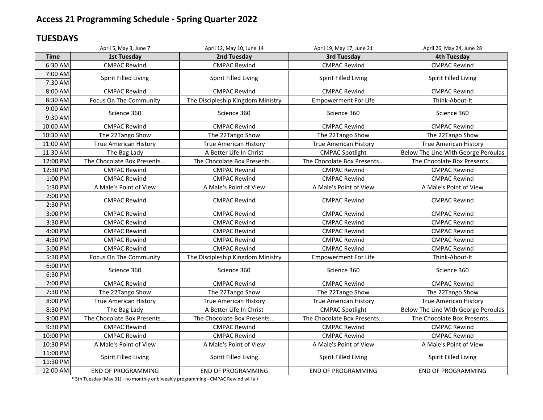#### **TUESDAYS**

|                      | April 5, May 3, June 7       | April 12, May 10, June 14         | April 19, May 17, June 21    | April 26, May 24, June 28           |
|----------------------|------------------------------|-----------------------------------|------------------------------|-------------------------------------|
| <b>Time</b>          | <b>1st Tuesday</b>           | 2nd Tuesday                       | <b>3rd Tuesday</b>           | <b>4th Tuesday</b>                  |
| 6:30 AM              | <b>CMPAC Rewind</b>          | <b>CMPAC Rewind</b>               | <b>CMPAC Rewind</b>          | <b>CMPAC Rewind</b>                 |
| 7:00 AM<br>7:30 AM   | Spirit Filled Living         | Spirit Filled Living              | Spirit Filled Living         | Spirit Filled Living                |
| 8:00 AM              | <b>CMPAC Rewind</b>          | <b>CMPAC Rewind</b>               | <b>CMPAC Rewind</b>          | <b>CMPAC Rewind</b>                 |
| 8:30 AM              | Focus On The Community       | The Discipleship Kingdom Ministry | <b>Empowerment For Life</b>  | Think-About-It                      |
| 9:00 AM<br>9:30 AM   | Science 360                  | Science 360                       | Science 360                  | Science 360                         |
| 10:00 AM             | <b>CMPAC Rewind</b>          | <b>CMPAC Rewind</b>               | <b>CMPAC Rewind</b>          | <b>CMPAC Rewind</b>                 |
| 10:30 AM             | The 22Tango Show             | The 22Tango Show                  | The 22Tango Show             | The 22Tango Show                    |
| 11:00 AM             | <b>True American History</b> | <b>True American History</b>      | <b>True American History</b> | <b>True American History</b>        |
| 11:30 AM             | The Bag Lady                 | A Better Life In Christ           | <b>CMPAC Spotlight</b>       | Below The Line With George Peroulas |
| 12:00 PM             | The Chocolate Box Presents   | The Chocolate Box Presents        | The Chocolate Box Presents   | The Chocolate Box Presents          |
| 12:30 PM             | <b>CMPAC Rewind</b>          | <b>CMPAC Rewind</b>               | <b>CMPAC Rewind</b>          | <b>CMPAC Rewind</b>                 |
| 1:00 PM              | <b>CMPAC Rewind</b>          | <b>CMPAC Rewind</b>               | <b>CMPAC Rewind</b>          | <b>CMPAC Rewind</b>                 |
| 1:30 PM              | A Male's Point of View       | A Male's Point of View            | A Male's Point of View       | A Male's Point of View              |
| 2:00 PM<br>2:30 PM   | <b>CMPAC Rewind</b>          | <b>CMPAC Rewind</b>               | <b>CMPAC Rewind</b>          | <b>CMPAC Rewind</b>                 |
| 3:00 PM              | <b>CMPAC Rewind</b>          | <b>CMPAC Rewind</b>               | <b>CMPAC Rewind</b>          | <b>CMPAC Rewind</b>                 |
| 3:30 PM              | <b>CMPAC Rewind</b>          | <b>CMPAC Rewind</b>               | <b>CMPAC Rewind</b>          | <b>CMPAC Rewind</b>                 |
| 4:00 PM              | <b>CMPAC Rewind</b>          | <b>CMPAC Rewind</b>               | <b>CMPAC Rewind</b>          | <b>CMPAC Rewind</b>                 |
| 4:30 PM              | <b>CMPAC Rewind</b>          | <b>CMPAC Rewind</b>               | <b>CMPAC Rewind</b>          | <b>CMPAC Rewind</b>                 |
| 5:00 PM              | <b>CMPAC Rewind</b>          | <b>CMPAC Rewind</b>               | <b>CMPAC Rewind</b>          | <b>CMPAC Rewind</b>                 |
| 5:30 PM              | Focus On The Community       | The Discipleship Kingdom Ministry | <b>Empowerment For Life</b>  | Think-About-It                      |
| 6:00 PM<br>6:30 PM   | Science 360                  | Science 360                       | Science 360                  | Science 360                         |
| 7:00 PM              | <b>CMPAC Rewind</b>          | <b>CMPAC Rewind</b>               | <b>CMPAC Rewind</b>          | <b>CMPAC Rewind</b>                 |
| 7:30 PM              | The 22Tango Show             | The 22Tango Show                  | The 22Tango Show             | The 22Tango Show                    |
| 8:00 PM              | <b>True American History</b> | <b>True American History</b>      | <b>True American History</b> | <b>True American History</b>        |
| 8:30 PM              | The Bag Lady                 | A Better Life In Christ           | <b>CMPAC Spotlight</b>       | Below The Line With George Peroulas |
| 9:00 PM              | The Chocolate Box Presents   | The Chocolate Box Presents        | The Chocolate Box Presents   | The Chocolate Box Presents          |
| 9:30 PM              | <b>CMPAC Rewind</b>          | <b>CMPAC Rewind</b>               | <b>CMPAC Rewind</b>          | <b>CMPAC Rewind</b>                 |
| 10:00 PM             | <b>CMPAC Rewind</b>          | <b>CMPAC Rewind</b>               | <b>CMPAC Rewind</b>          | <b>CMPAC Rewind</b>                 |
| 10:30 PM             | A Male's Point of View       | A Male's Point of View            | A Male's Point of View       | A Male's Point of View              |
| 11:00 PM<br>11:30 PM | Spirit Filled Living         | Spirit Filled Living              | Spirit Filled Living         | Spirit Filled Living                |
| 12:00 AM             | <b>END OF PROGRAMMING</b>    | <b>END OF PROGRAMMING</b>         | <b>END OF PROGRAMMING</b>    | <b>END OF PROGRAMMING</b>           |

\* 5th Tuesday (May 31) - no monthly or biweekly programming - CMPAC Rewind will air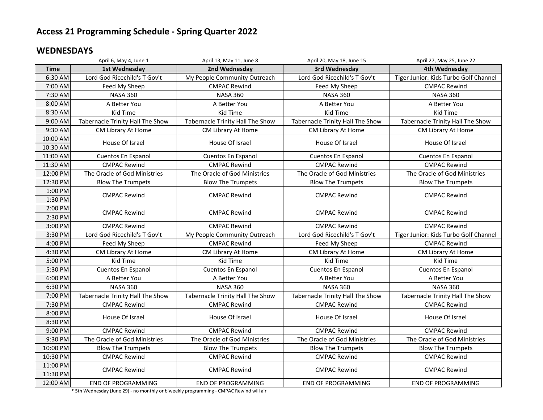#### **WEDNESDAYS**

|             | April 6, May 4, June 1           | April 13, May 11, June 8         | April 20, May 18, June 15        | April 27, May 25, June 22             |
|-------------|----------------------------------|----------------------------------|----------------------------------|---------------------------------------|
| <b>Time</b> | 1st Wednesday                    | 2nd Wednesday                    | 3rd Wednesday                    | 4th Wednesday                         |
| 6:30 AM     | Lord God Ricechild's T Gov't     | My People Community Outreach     | Lord God Ricechild's T Gov't     | Tiger Junior: Kids Turbo Golf Channel |
| 7:00 AM     | Feed My Sheep                    | <b>CMPAC Rewind</b>              | Feed My Sheep                    | <b>CMPAC Rewind</b>                   |
| 7:30 AM     | <b>NASA 360</b>                  | <b>NASA 360</b>                  | <b>NASA 360</b>                  | <b>NASA 360</b>                       |
| 8:00 AM     | A Better You                     | A Better You                     | A Better You                     | A Better You                          |
| 8:30 AM     | Kid Time                         | Kid Time                         | Kid Time                         | Kid Time                              |
| 9:00 AM     | Tabernacle Trinity Hall The Show | Tabernacle Trinity Hall The Show | Tabernacle Trinity Hall The Show | Tabernacle Trinity Hall The Show      |
| 9:30 AM     | CM Library At Home               | CM Library At Home               | CM Library At Home               | CM Library At Home                    |
| 10:00 AM    | House Of Israel                  | House Of Israel                  | House Of Israel                  | House Of Israel                       |
| 10:30 AM    |                                  |                                  |                                  |                                       |
| 11:00 AM    | Cuentos En Espanol               | Cuentos En Espanol               | Cuentos En Espanol               | Cuentos En Espanol                    |
| 11:30 AM    | <b>CMPAC Rewind</b>              | <b>CMPAC Rewind</b>              | <b>CMPAC Rewind</b>              | <b>CMPAC Rewind</b>                   |
| 12:00 PM    | The Oracle of God Ministries     | The Oracle of God Ministries     | The Oracle of God Ministries     | The Oracle of God Ministries          |
| 12:30 PM    | <b>Blow The Trumpets</b>         | <b>Blow The Trumpets</b>         | <b>Blow The Trumpets</b>         | <b>Blow The Trumpets</b>              |
| 1:00 PM     | <b>CMPAC Rewind</b>              | <b>CMPAC Rewind</b>              | <b>CMPAC Rewind</b>              | <b>CMPAC Rewind</b>                   |
| 1:30 PM     |                                  |                                  |                                  |                                       |
| 2:00 PM     | <b>CMPAC Rewind</b>              | <b>CMPAC Rewind</b>              | <b>CMPAC Rewind</b>              | <b>CMPAC Rewind</b>                   |
| 2:30 PM     |                                  |                                  |                                  |                                       |
| 3:00 PM     | <b>CMPAC Rewind</b>              | <b>CMPAC Rewind</b>              | <b>CMPAC Rewind</b>              | <b>CMPAC Rewind</b>                   |
| 3:30 PM     | Lord God Ricechild's T Gov't     | My People Community Outreach     | Lord God Ricechild's T Gov't     | Tiger Junior: Kids Turbo Golf Channel |
| 4:00 PM     | Feed My Sheep                    | <b>CMPAC Rewind</b>              | Feed My Sheep                    | <b>CMPAC Rewind</b>                   |
| 4:30 PM     | CM Library At Home               | CM Library At Home               | CM Library At Home               | CM Library At Home                    |
| 5:00 PM     | Kid Time                         | Kid Time                         | Kid Time                         | Kid Time                              |
| 5:30 PM     | Cuentos En Espanol               | Cuentos En Espanol               | Cuentos En Espanol               | Cuentos En Espanol                    |
| 6:00 PM     | A Better You                     | A Better You                     | A Better You                     | A Better You                          |
| 6:30 PM     | <b>NASA 360</b>                  | <b>NASA 360</b>                  | <b>NASA 360</b>                  | <b>NASA 360</b>                       |
| 7:00 PM     | Tabernacle Trinity Hall The Show | Tabernacle Trinity Hall The Show | Tabernacle Trinity Hall The Show | Tabernacle Trinity Hall The Show      |
| 7:30 PM     | <b>CMPAC Rewind</b>              | <b>CMPAC Rewind</b>              | <b>CMPAC Rewind</b>              | <b>CMPAC Rewind</b>                   |
| 8:00 PM     | House Of Israel                  | House Of Israel                  | House Of Israel                  | House Of Israel                       |
| 8:30 PM     |                                  |                                  |                                  |                                       |
| 9:00 PM     | <b>CMPAC Rewind</b>              | <b>CMPAC Rewind</b>              | <b>CMPAC Rewind</b>              | <b>CMPAC Rewind</b>                   |
| 9:30 PM     | The Oracle of God Ministries     | The Oracle of God Ministries     | The Oracle of God Ministries     | The Oracle of God Ministries          |
| 10:00 PM    | <b>Blow The Trumpets</b>         | <b>Blow The Trumpets</b>         | <b>Blow The Trumpets</b>         | <b>Blow The Trumpets</b>              |
| 10:30 PM    | <b>CMPAC Rewind</b>              | <b>CMPAC Rewind</b>              | <b>CMPAC Rewind</b>              | <b>CMPAC Rewind</b>                   |
| 11:00 PM    | <b>CMPAC Rewind</b>              | <b>CMPAC Rewind</b>              | <b>CMPAC Rewind</b>              | <b>CMPAC Rewind</b>                   |
| 11:30 PM    |                                  |                                  |                                  |                                       |
| 12:00 AM    | <b>END OF PROGRAMMING</b>        | <b>END OF PROGRAMMING</b>        | <b>END OF PROGRAMMING</b>        | <b>END OF PROGRAMMING</b>             |

\* 5th Wednesday (June 29) - no monthly or biweekly programming - CMPAC Rewind will air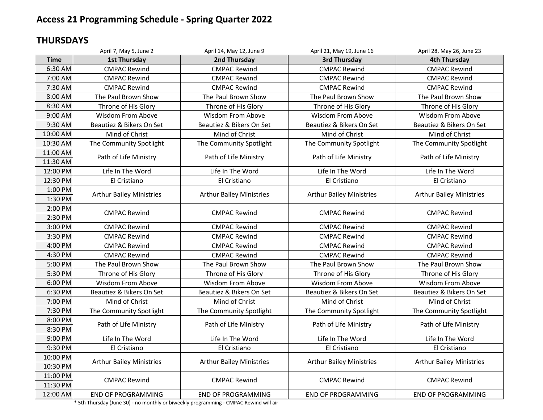### **THURSDAYS**

|                      | April 7, May 5, June 2          | April 14, May 12, June 9        | April 21, May 19, June 16       | April 28, May 26, June 23       |
|----------------------|---------------------------------|---------------------------------|---------------------------------|---------------------------------|
| <b>Time</b>          | <b>1st Thursday</b>             | 2nd Thursday                    | 3rd Thursday                    | <b>4th Thursday</b>             |
| 6:30 AM              | <b>CMPAC Rewind</b>             | <b>CMPAC Rewind</b>             | <b>CMPAC Rewind</b>             | <b>CMPAC Rewind</b>             |
| 7:00 AM              | <b>CMPAC Rewind</b>             | <b>CMPAC Rewind</b>             | <b>CMPAC Rewind</b>             | <b>CMPAC Rewind</b>             |
| 7:30 AM              | <b>CMPAC Rewind</b>             | <b>CMPAC Rewind</b>             | <b>CMPAC Rewind</b>             | <b>CMPAC Rewind</b>             |
| 8:00 AM              | The Paul Brown Show             | The Paul Brown Show             | The Paul Brown Show             | The Paul Brown Show             |
| 8:30 AM              | Throne of His Glory             | Throne of His Glory             | Throne of His Glory             | Throne of His Glory             |
| 9:00 AM              | <b>Wisdom From Above</b>        | <b>Wisdom From Above</b>        | Wisdom From Above               | Wisdom From Above               |
| 9:30 AM              | Beautiez & Bikers On Set        | Beautiez & Bikers On Set        | Beautiez & Bikers On Set        | Beautiez & Bikers On Set        |
| 10:00 AM             | Mind of Christ                  | Mind of Christ                  | Mind of Christ                  | Mind of Christ                  |
| 10:30 AM             | The Community Spotlight         | The Community Spotlight         | The Community Spotlight         | The Community Spotlight         |
| 11:00 AM<br>11:30 AM | Path of Life Ministry           | Path of Life Ministry           | Path of Life Ministry           | Path of Life Ministry           |
| 12:00 PM             | Life In The Word                | Life In The Word                | Life In The Word                | Life In The Word                |
| 12:30 PM             | El Cristiano                    | El Cristiano                    | El Cristiano                    | El Cristiano                    |
| 1:00 PM              |                                 |                                 |                                 |                                 |
| 1:30 PM              | <b>Arthur Bailey Ministries</b> | <b>Arthur Bailey Ministries</b> | <b>Arthur Bailey Ministries</b> | <b>Arthur Bailey Ministries</b> |
| 2:00 PM              | <b>CMPAC Rewind</b>             | <b>CMPAC Rewind</b>             | <b>CMPAC Rewind</b>             | <b>CMPAC Rewind</b>             |
| 2:30 PM              |                                 |                                 |                                 |                                 |
| 3:00 PM              | <b>CMPAC Rewind</b>             | <b>CMPAC Rewind</b>             | <b>CMPAC Rewind</b>             | <b>CMPAC Rewind</b>             |
| 3:30 PM              | <b>CMPAC Rewind</b>             | <b>CMPAC Rewind</b>             | <b>CMPAC Rewind</b>             | <b>CMPAC Rewind</b>             |
| 4:00 PM              | <b>CMPAC Rewind</b>             | <b>CMPAC Rewind</b>             | <b>CMPAC Rewind</b>             | <b>CMPAC Rewind</b>             |
| 4:30 PM              | <b>CMPAC Rewind</b>             | <b>CMPAC Rewind</b>             | <b>CMPAC Rewind</b>             | <b>CMPAC Rewind</b>             |
| 5:00 PM              | The Paul Brown Show             | The Paul Brown Show             | The Paul Brown Show             | The Paul Brown Show             |
| 5:30 PM              | Throne of His Glory             | Throne of His Glory             | Throne of His Glory             | Throne of His Glory             |
| 6:00 PM              | <b>Wisdom From Above</b>        | Wisdom From Above               | <b>Wisdom From Above</b>        | <b>Wisdom From Above</b>        |
| 6:30 PM              | Beautiez & Bikers On Set        | Beautiez & Bikers On Set        | Beautiez & Bikers On Set        | Beautiez & Bikers On Set        |
| 7:00 PM              | Mind of Christ                  | Mind of Christ                  | Mind of Christ                  | Mind of Christ                  |
| 7:30 PM              | The Community Spotlight         | The Community Spotlight         | The Community Spotlight         | The Community Spotlight         |
| 8:00 PM              | Path of Life Ministry           | Path of Life Ministry           | Path of Life Ministry           | Path of Life Ministry           |
| 8:30 PM              |                                 |                                 |                                 |                                 |
| 9:00 PM              | Life In The Word                | Life In The Word                | Life In The Word                | Life In The Word                |
| 9:30 PM              | El Cristiano                    | El Cristiano                    | El Cristiano                    | El Cristiano                    |
| 10:00 PM             | <b>Arthur Bailey Ministries</b> | <b>Arthur Bailey Ministries</b> | <b>Arthur Bailey Ministries</b> | <b>Arthur Bailey Ministries</b> |
| 10:30 PM             |                                 |                                 |                                 |                                 |
| 11:00 PM             | <b>CMPAC Rewind</b>             | <b>CMPAC Rewind</b>             | <b>CMPAC Rewind</b>             | <b>CMPAC Rewind</b>             |
| 11:30 PM             |                                 |                                 |                                 |                                 |
| 12:00 AM             | <b>END OF PROGRAMMING</b>       | <b>END OF PROGRAMMING</b>       | <b>END OF PROGRAMMING</b>       | <b>END OF PROGRAMMING</b>       |

\* 5th Thursday (June 30) - no monthly or biweekly programming - CMPAC Rewind will air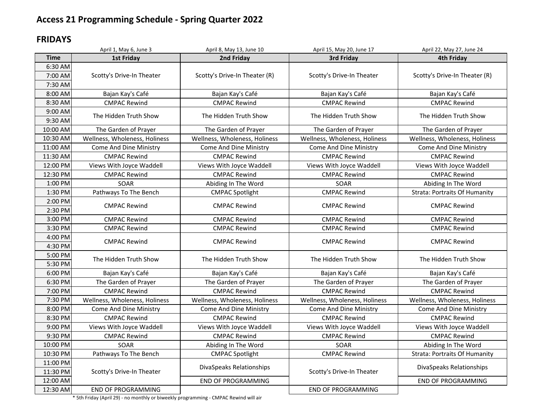#### **FRIDAYS**

|             | April 1, May 6, June 3        | April 8, May 13, June 10      | April 15, May 20, June 17     | April 22, May 27, June 24            |
|-------------|-------------------------------|-------------------------------|-------------------------------|--------------------------------------|
| <b>Time</b> | <b>1st Friday</b>             | 2nd Friday                    | 3rd Friday                    | <b>4th Friday</b>                    |
| 6:30 AM     |                               |                               |                               |                                      |
| 7:00 AM     | Scotty's Drive-In Theater     | Scotty's Drive-In Theater (R) | Scotty's Drive-In Theater     | Scotty's Drive-In Theater (R)        |
| 7:30 AM     |                               |                               |                               |                                      |
| 8:00 AM     | Bajan Kay's Café              | Bajan Kay's Café              | Bajan Kay's Café              | Bajan Kay's Café                     |
| 8:30 AM     | <b>CMPAC Rewind</b>           | <b>CMPAC Rewind</b>           | <b>CMPAC Rewind</b>           | <b>CMPAC Rewind</b>                  |
| 9:00 AM     |                               |                               |                               |                                      |
| 9:30 AM     | The Hidden Truth Show         | The Hidden Truth Show         | The Hidden Truth Show         | The Hidden Truth Show                |
| 10:00 AM    | The Garden of Prayer          | The Garden of Prayer          | The Garden of Prayer          | The Garden of Prayer                 |
| 10:30 AM    | Wellness, Wholeness, Holiness | Wellness, Wholeness, Holiness | Wellness, Wholeness, Holiness | Wellness, Wholeness, Holiness        |
| 11:00 AM    | Come And Dine Ministry        | Come And Dine Ministry        | Come And Dine Ministry        | Come And Dine Ministry               |
| 11:30 AM    | <b>CMPAC Rewind</b>           | <b>CMPAC Rewind</b>           | <b>CMPAC Rewind</b>           | <b>CMPAC Rewind</b>                  |
| 12:00 PM    | Views With Joyce Waddell      | Views With Joyce Waddell      | Views With Joyce Waddell      | Views With Joyce Waddell             |
| 12:30 PM    | <b>CMPAC Rewind</b>           | <b>CMPAC Rewind</b>           | <b>CMPAC Rewind</b>           | <b>CMPAC Rewind</b>                  |
| 1:00 PM     | SOAR                          | Abiding In The Word           | SOAR                          | Abiding In The Word                  |
| 1:30 PM     | Pathways To The Bench         | <b>CMPAC Spotlight</b>        | <b>CMPAC Rewind</b>           | <b>Strata: Portraits Of Humanity</b> |
| 2:00 PM     | <b>CMPAC Rewind</b>           | <b>CMPAC Rewind</b>           | <b>CMPAC Rewind</b>           | <b>CMPAC Rewind</b>                  |
| 2:30 PM     |                               |                               |                               |                                      |
| 3:00 PM     | <b>CMPAC Rewind</b>           | <b>CMPAC Rewind</b>           | <b>CMPAC Rewind</b>           | <b>CMPAC Rewind</b>                  |
| 3:30 PM     | <b>CMPAC Rewind</b>           | <b>CMPAC Rewind</b>           | <b>CMPAC Rewind</b>           | <b>CMPAC Rewind</b>                  |
| 4:00 PM     | <b>CMPAC Rewind</b>           | <b>CMPAC Rewind</b>           | <b>CMPAC Rewind</b>           | <b>CMPAC Rewind</b>                  |
| 4:30 PM     |                               |                               |                               |                                      |
| 5:00 PM     | The Hidden Truth Show         | The Hidden Truth Show         | The Hidden Truth Show         | The Hidden Truth Show                |
| 5:30 PM     |                               |                               |                               |                                      |
| 6:00 PM     | Bajan Kay's Café              | Bajan Kay's Café              | Bajan Kay's Café              | Bajan Kay's Café                     |
| 6:30 PM     | The Garden of Prayer          | The Garden of Prayer          | The Garden of Prayer          | The Garden of Prayer                 |
| 7:00 PM     | <b>CMPAC Rewind</b>           | <b>CMPAC Rewind</b>           | <b>CMPAC Rewind</b>           | <b>CMPAC Rewind</b>                  |
| 7:30 PM     | Wellness, Wholeness, Holiness | Wellness, Wholeness, Holiness | Wellness, Wholeness, Holiness | Wellness, Wholeness, Holiness        |
| 8:00 PM     | Come And Dine Ministry        | Come And Dine Ministry        | <b>Come And Dine Ministry</b> | Come And Dine Ministry               |
| 8:30 PM     | <b>CMPAC Rewind</b>           | <b>CMPAC Rewind</b>           | <b>CMPAC Rewind</b>           | <b>CMPAC Rewind</b>                  |
| 9:00 PM     | Views With Joyce Waddell      | Views With Joyce Waddell      | Views With Joyce Waddell      | Views With Joyce Waddell             |
| 9:30 PM     | <b>CMPAC Rewind</b>           | <b>CMPAC Rewind</b>           | <b>CMPAC Rewind</b>           | <b>CMPAC Rewind</b>                  |
| 10:00 PM    | SOAR                          | Abiding In The Word           | SOAR                          | Abiding In The Word                  |
| 10:30 PM    | Pathways To The Bench         | <b>CMPAC Spotlight</b>        | <b>CMPAC Rewind</b>           | <b>Strata: Portraits Of Humanity</b> |
| 11:00 PM    |                               | DivaSpeaks Relationships      |                               | DivaSpeaks Relationships             |
| 11:30 PM    | Scotty's Drive-In Theater     |                               | Scotty's Drive-In Theater     |                                      |
| 12:00 AM    |                               | <b>END OF PROGRAMMING</b>     |                               | <b>END OF PROGRAMMING</b>            |
| 12:30 AM    | <b>END OF PROGRAMMING</b>     |                               | <b>END OF PROGRAMMING</b>     |                                      |

\* 5th Friday (April 29) - no monthly or biweekly programming - CMPAC Rewind will air